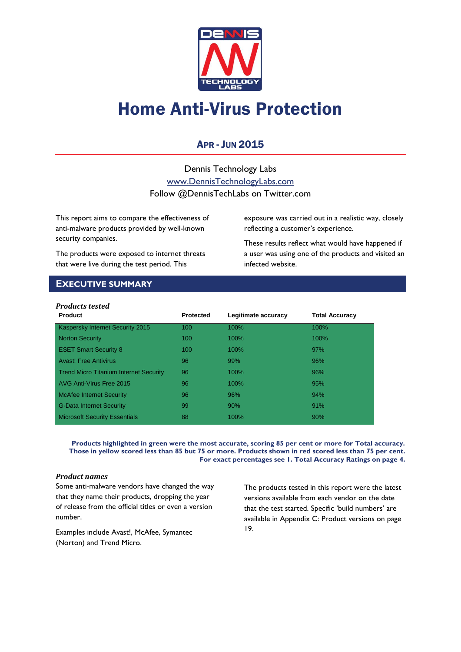

# Home Anti-Virus Protection

## APR - JUN 2015

Dennis Technology Labs [www.DennisTechnologyLabs.com](http://www.dennistechnologylabs.com/) Follow @DennisTechLabs on Twitter.com

This report aims to compare the effectiveness of anti-malware products provided by well-known security companies.

The products were exposed to internet threats that were live during the test period. This

exposure was carried out in a realistic way, closely reflecting a customer's experience.

These results reflect what would have happened if a user was using one of the products and visited an infected website.

## <span id="page-0-0"></span>**EXECUTIVE SUMMARY**

| <b>Products tested</b> |  |
|------------------------|--|
|------------------------|--|

| <b>Product</b>                                | <b>Protected</b> | Legitimate accuracy | <b>Total Accuracy</b> |
|-----------------------------------------------|------------------|---------------------|-----------------------|
| Kaspersky Internet Security 2015              | 100              | 100%                | 100%                  |
| <b>Norton Security</b>                        | 100              | 100%                | $100\%$               |
| <b>ESET Smart Security 8</b>                  | 100              | 100%                | 97%                   |
| <b>Avast! Free Antivirus</b>                  | 96               | 99%                 | 96%                   |
| <b>Trend Micro Titanium Internet Security</b> | 96               | 100%                | 96%                   |
| AVG Anti-Virus Free 2015                      | 96               | 100%                | 95%                   |
| <b>McAfee Internet Security</b>               | 96               | 96%                 | 94%                   |
| <b>G-Data Internet Security</b>               | 99               | 90%                 | 91%                   |
| <b>Microsoft Security Essentials</b>          | 88               | 100%                | 90%                   |

**Products highlighted in green were the most accurate, scoring 85 per cent or more for Total accuracy. Those in yellow scored less than 85 but 75 or more. Products shown in red scored less than 75 per cent. For exact percentages see 1. Total Accuracy Ratings on page 4.**

## *Product names*

Some anti-malware vendors have changed the way that they name their products, dropping the year of release from the official titles or even a version number.

Examples include Avast!, McAfee, Symantec (Norton) and Trend Micro.

The products tested in this report were the latest versions available from each vendor on the date that the test started. Specific 'build numbers' are available in [Appendix C: Product versions](#page-19-0) on page 19.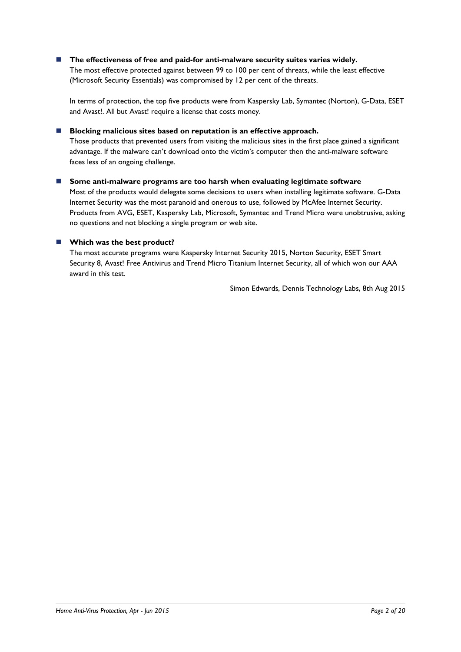## **The effectiveness of free and paid-for anti-malware security suites varies widely.**

The most effective protected against between 99 to 100 per cent of threats, while the least effective (Microsoft Security Essentials) was compromised by 12 per cent of the threats.

In terms of protection, the top five products were from Kaspersky Lab, Symantec (Norton), G-Data, ESET and Avast!. All but Avast! require a license that costs money.

## **Blocking malicious sites based on reputation is an effective approach.**

Those products that prevented users from visiting the malicious sites in the first place gained a significant advantage. If the malware can't download onto the victim's computer then the anti-malware software faces less of an ongoing challenge.

## **Some anti-malware programs are too harsh when evaluating legitimate software**

Most of the products would delegate some decisions to users when installing legitimate software. G-Data Internet Security was the most paranoid and onerous to use, followed by McAfee Internet Security. Products from AVG, ESET, Kaspersky Lab, Microsoft, Symantec and Trend Micro were unobtrusive, asking no questions and not blocking a single program or web site.

## **Which was the best product?**

The most accurate programs were Kaspersky Internet Security 2015, Norton Security, ESET Smart Security 8, Avast! Free Antivirus and Trend Micro Titanium Internet Security, all of which won our AAA award in this test.

Simon Edwards, Dennis Technology Labs, 8th Aug 2015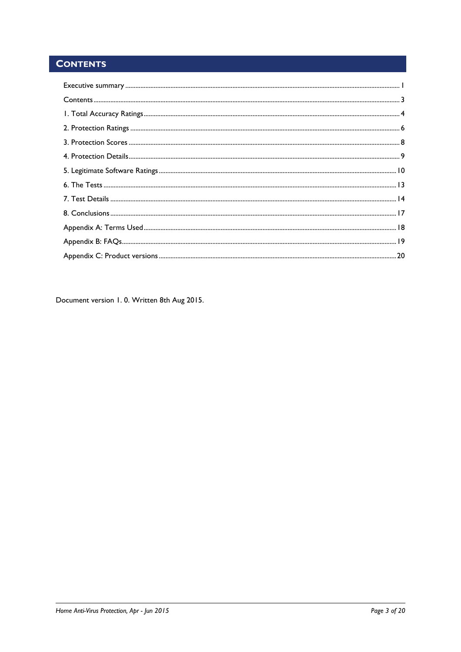## <span id="page-2-0"></span>**CONTENTS**

Document version 1.0. Written 8th Aug 2015.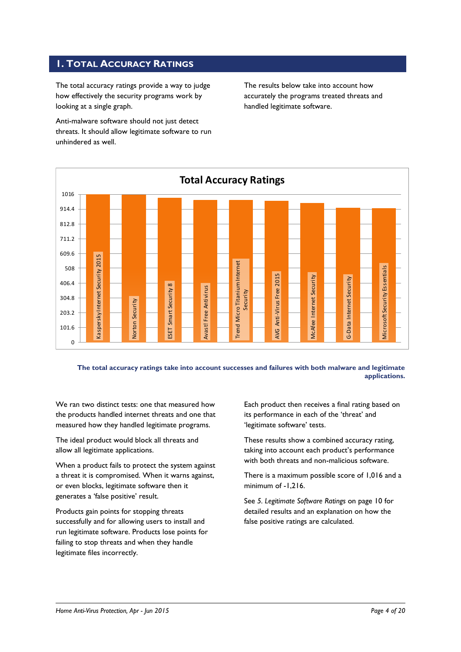## <span id="page-3-0"></span>**1. TOTAL ACCURACY RATINGS**

The total accuracy ratings provide a way to judge how effectively the security programs work by looking at a single graph.

Anti-malware software should not just detect threats. It should allow legitimate software to run unhindered as well.

The results below take into account how accurately the programs treated threats and handled legitimate software.



**The total accuracy ratings take into account successes and failures with both malware and legitimate applications.**

We ran two distinct tests: one that measured how the products handled internet threats and one that measured how they handled legitimate programs.

The ideal product would block all threats and allow all legitimate applications.

When a product fails to protect the system against a threat it is compromised. When it warns against, or even blocks, legitimate software then it generates a 'false positive' result.

Products gain points for stopping threats successfully and for allowing users to install and run legitimate software. Products lose points for failing to stop threats and when they handle legitimate files incorrectly.

Each product then receives a final rating based on its performance in each of the 'threat' and 'legitimate software' tests.

These results show a combined accuracy rating, taking into account each product's performance with both threats and non-malicious software.

There is a maximum possible score of 1,016 and a minimum of -1,216.

See *5. Legitimate Software Ratings* on page 10 for detailed results and an explanation on how the false positive ratings are calculated.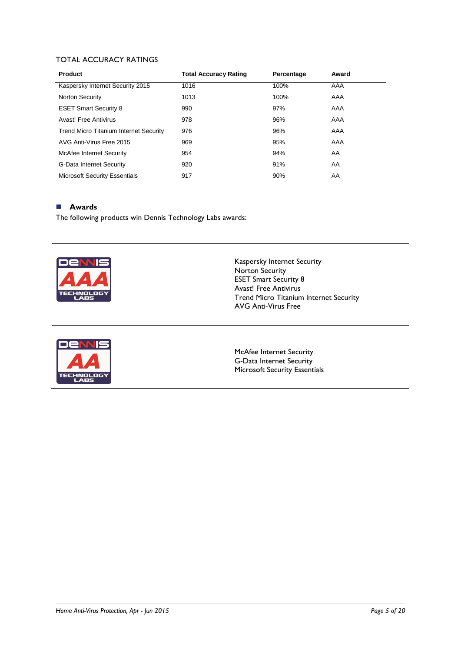## TOTAL ACCURACY RATINGS

| <b>Product</b>                                | <b>Total Accuracy Rating</b> | Percentage | Award |  |
|-----------------------------------------------|------------------------------|------------|-------|--|
| Kaspersky Internet Security 2015              | 1016                         | 100%       | AAA   |  |
| <b>Norton Security</b>                        | 1013                         | 100%       | AAA   |  |
| <b>ESET Smart Security 8</b>                  | 990                          | 97%        | AAA   |  |
| Avast! Free Antivirus                         | 978                          | 96%        | AAA   |  |
| <b>Trend Micro Titanium Internet Security</b> | 976                          | 96%        | AAA   |  |
| AVG Anti-Virus Free 2015                      | 969                          | 95%        | AAA   |  |
| McAfee Internet Security                      | 954                          | 94%        | AA    |  |
| <b>G-Data Internet Security</b>               | 920                          | 91%        | AA    |  |
| <b>Microsoft Security Essentials</b>          | 917                          | 90%        | AA    |  |

#### **Awards**

The following products win Dennis Technology Labs awards:



Kaspersky Internet Security Norton Security ESET Smart Security 8 Avast! Free Antivirus Trend Micro Titanium Internet Security AVG Anti-Virus Free



McAfee Internet Security G-Data Internet Security Microsoft Security Essentials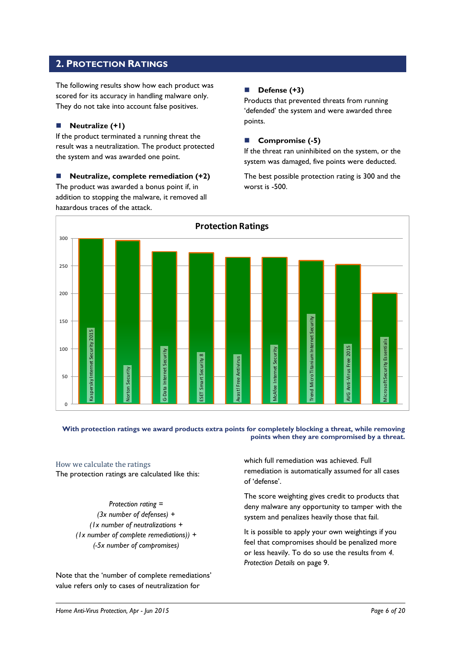## <span id="page-5-0"></span>**2. PROTECTION RATINGS**

The following results show how each product was scored for its accuracy in handling malware only. They do not take into account false positives.

## **Neutralize (+1)**

If the product terminated a running threat the result was a neutralization. The product protected the system and was awarded one point.

 **Neutralize, complete remediation (+2)** The product was awarded a bonus point if, in addition to stopping the malware, it removed all hazardous traces of the attack.

## **Defense (+3)**

Products that prevented threats from running 'defended' the system and were awarded three points.

## **Compromise (-5)**

If the threat ran uninhibited on the system, or the system was damaged, five points were deducted.

The best possible protection rating is 300 and the worst is -500.



#### **With protection ratings we award products extra points for completely blocking a threat, while removing points when they are compromised by a threat.**

## How we calculate the ratings

The protection ratings are calculated like this:

*Protection rating = (3x number of defenses) + (1x number of neutralizations + (1x number of complete remediations)) + (-5x number of compromises)*

Note that the 'number of complete remediations' value refers only to cases of neutralization for

which full remediation was achieved. Full remediation is automatically assumed for all cases of 'defense'.

The score weighting gives credit to products that deny malware any opportunity to tamper with the system and penalizes heavily those that fail.

It is possible to apply your own weightings if you feel that compromises should be penalized more or less heavily. To do so use the results from *4. Protection Details* on page 9.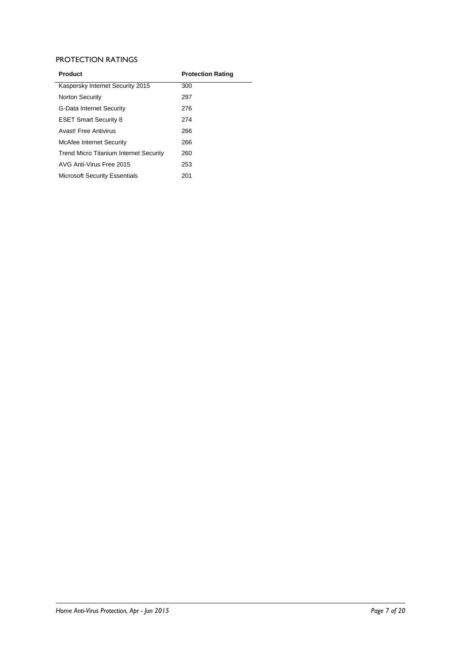## PROTECTION RATINGS

| <b>Product</b>                                | <b>Protection Rating</b> |
|-----------------------------------------------|--------------------------|
| Kaspersky Internet Security 2015              | 300                      |
| <b>Norton Security</b>                        | 297                      |
| <b>G-Data Internet Security</b>               | 276                      |
| <b>ESET Smart Security 8</b>                  | 274                      |
| Avast! Free Antivirus                         | 266                      |
| McAfee Internet Security                      | 266                      |
| <b>Trend Micro Titanium Internet Security</b> | 260                      |
| AVG Anti-Virus Free 2015                      | 253                      |
| <b>Microsoft Security Essentials</b>          | 201                      |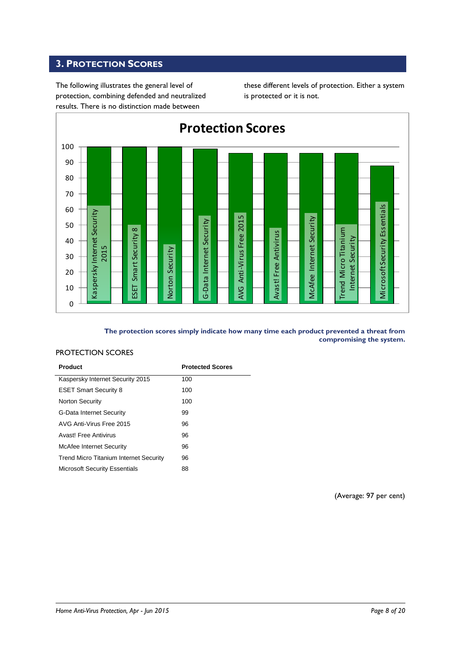## <span id="page-7-0"></span>**3. PROTECTION SCORES**

The following illustrates the general level of protection, combining defended and neutralized results. There is no distinction made between

these different levels of protection. Either a system is protected or it is not.



#### **The protection scores simply indicate how many time each product prevented a threat from compromising the system.**

## PROTECTION SCORES

| Product                                       | <b>Protected Scores</b> |
|-----------------------------------------------|-------------------------|
| Kaspersky Internet Security 2015              | 100                     |
| <b>ESET Smart Security 8</b>                  | 100                     |
| Norton Security                               | 100                     |
| <b>G-Data Internet Security</b>               | 99                      |
| AVG Anti-Virus Free 2015                      | 96                      |
| Avast! Free Antivirus                         | 96                      |
| McAfee Internet Security                      | 96                      |
| <b>Trend Micro Titanium Internet Security</b> | 96                      |
| <b>Microsoft Security Essentials</b>          | 88                      |

(Average: 97 per cent)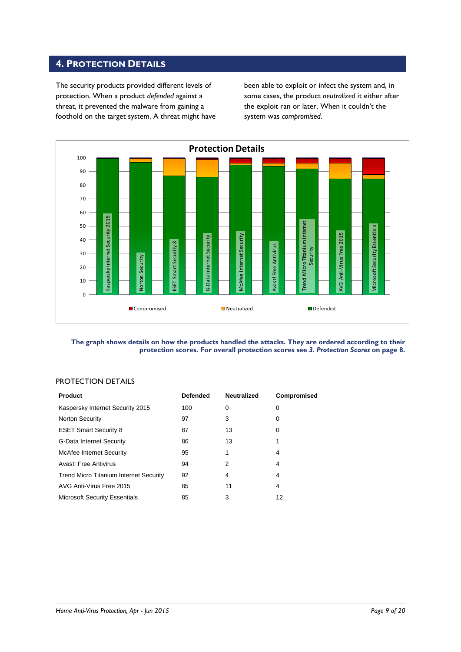## <span id="page-8-0"></span>**4. PROTECTION DETAILS**

The security products provided different levels of protection. When a product *defended* against a threat, it prevented the malware from gaining a foothold on the target system. A threat might have been able to exploit or infect the system and, in some cases, the product *neutralized* it either after the exploit ran or later. When it couldn't the system was *compromised*.



#### **The graph shows details on how the products handled the attacks. They are ordered according to their protection scores. For overall protection scores see** *3. Protection Scores* **on page 8.**

## PROTECTION DETAILS

| Product                                       | <b>Defended</b> | <b>Neutralized</b> | Compromised |
|-----------------------------------------------|-----------------|--------------------|-------------|
| Kaspersky Internet Security 2015              | 100             | $\Omega$           | 0           |
| <b>Norton Security</b>                        | 97              | 3                  | 0           |
| <b>ESET Smart Security 8</b>                  | 87              | 13                 | 0           |
| <b>G-Data Internet Security</b>               | 86              | 13                 |             |
| <b>McAfee Internet Security</b>               | 95              | 1                  | 4           |
| Avast! Free Antivirus                         | 94              | 2                  | 4           |
| <b>Trend Micro Titanium Internet Security</b> | 92              | 4                  | 4           |
| AVG Anti-Virus Free 2015                      | 85              | 11                 | 4           |
| <b>Microsoft Security Essentials</b>          | 85              | 3                  | 12          |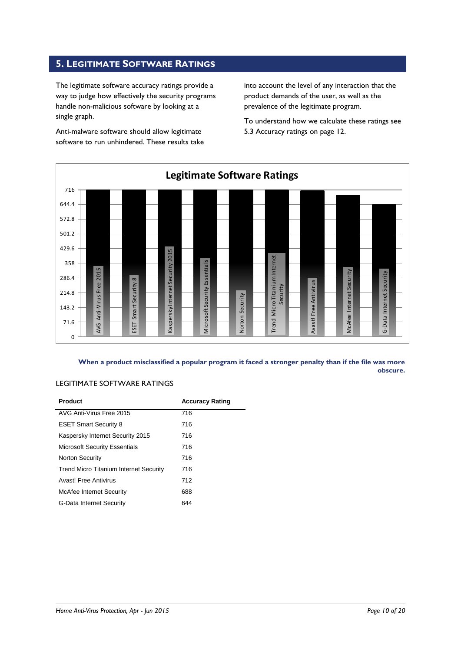## <span id="page-9-0"></span>**5. LEGITIMATE SOFTWARE RATINGS**

The legitimate software accuracy ratings provide a way to judge how effectively the security programs handle non-malicious software by looking at a single graph.

Anti-malware software should allow legitimate software to run unhindered. These results take into account the level of any interaction that the product demands of the user, as well as the prevalence of the legitimate program.

To understand how we calculate these ratings see 5.3 Accuracy ratings on page 12.



**When a product misclassified a popular program it faced a stronger penalty than if the file was more obscure.**

## LEGITIMATE SOFTWARE RATINGS

| Product                                       | <b>Accuracy Rating</b> |
|-----------------------------------------------|------------------------|
| AVG Anti-Virus Free 2015                      | 716                    |
| <b>ESET Smart Security 8</b>                  | 716                    |
| Kaspersky Internet Security 2015              | 716                    |
| <b>Microsoft Security Essentials</b>          | 716                    |
| <b>Norton Security</b>                        | 716                    |
| <b>Trend Micro Titanium Internet Security</b> | 716                    |
| Avast! Free Antivirus                         | 712                    |
| McAfee Internet Security                      | 688                    |
| <b>G-Data Internet Security</b>               | 644                    |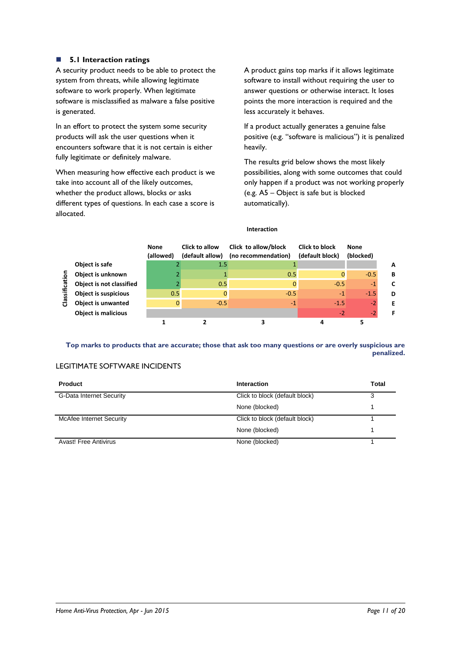## **5.1 Interaction ratings**

A security product needs to be able to protect the system from threats, while allowing legitimate software to work properly. When legitimate software is misclassified as malware a false positive is generated.

In an effort to protect the system some security products will ask the user questions when it encounters software that it is not certain is either fully legitimate or definitely malware.

When measuring how effective each product is we take into account all of the likely outcomes, whether the product allows, blocks or asks different types of questions. In each case a score is allocated.

A product gains top marks if it allows legitimate software to install without requiring the user to answer questions or otherwise interact. It loses points the more interaction is required and the less accurately it behaves.

If a product actually generates a genuine false positive (e.g. "software is malicious") it is penalized heavily.

The results grid below shows the most likely possibilities, along with some outcomes that could only happen if a product was not working properly (e.g. A5 – Object is safe but is blocked automatically).

|                |                             | <b>None</b><br>(allowed) | Click to allow<br>(default allow) | Click to allow/block<br>(no recommendation) | <b>Click to block</b><br>(default block) | <b>None</b><br>(blocked) |   |
|----------------|-----------------------------|--------------------------|-----------------------------------|---------------------------------------------|------------------------------------------|--------------------------|---|
|                | Object is safe              |                          | 1.5                               |                                             |                                          |                          | A |
|                | Object is unknown           |                          |                                   | 0.5                                         | $\Omega$                                 | $-0.5$                   | B |
| Classification | Object is not classified    |                          | 0.5                               | 0                                           | $-0.5$                                   | $-1$                     | C |
|                | <b>Object is suspicious</b> | 0.5                      | $\Omega$                          | $-0.5$                                      | $-1$                                     | $-1.5$                   | D |
|                | <b>Object is unwanted</b>   |                          | $-0.5$                            | $-1$                                        | $-1.5$                                   | $-2$                     | Е |
|                | <b>Object is malicious</b>  |                          |                                   |                                             | $-2$                                     | $-2$                     |   |
|                |                             |                          |                                   |                                             |                                          |                          |   |

#### **Interaction**

**Top marks to products that are accurate; those that ask too many questions or are overly suspicious are penalized.**

## LEGITIMATE SOFTWARE INCIDENTS

| <b>Product</b>                  | Interaction                    | <b>Total</b> |
|---------------------------------|--------------------------------|--------------|
| <b>G-Data Internet Security</b> | Click to block (default block) | 3            |
|                                 | None (blocked)                 |              |
| McAfee Internet Security        | Click to block (default block) |              |
|                                 | None (blocked)                 |              |
| Avast! Free Antivirus           | None (blocked)                 |              |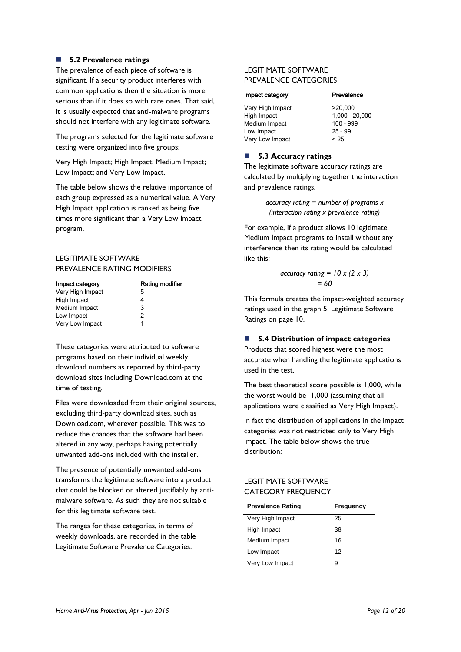## **5.2 Prevalence ratings**

The prevalence of each piece of software is significant. If a security product interferes with common applications then the situation is more serious than if it does so with rare ones. That said, it is usually expected that anti-malware programs should not interfere with any legitimate software.

The programs selected for the legitimate software testing were organized into five groups:

Very High Impact; High Impact; Medium Impact; Low Impact; and Very Low Impact.

The table below shows the relative importance of each group expressed as a numerical value. A Very High Impact application is ranked as being five times more significant than a Very Low Impact program.

## LEGITIMATE SOFTWARE PREVALENCE RATING MODIFIERS

| Impact category  | Rating modifier |
|------------------|-----------------|
| Very High Impact | 5               |
| High Impact      |                 |
| Medium Impact    | 3               |
| Low Impact       | 2               |
| Very Low Impact  |                 |

These categories were attributed to software programs based on their individual weekly download numbers as reported by third-party download sites including Download.com at the time of testing.

Files were downloaded from their original sources, excluding third-party download sites, such as Download.com, wherever possible. This was to reduce the chances that the software had been altered in any way, perhaps having potentially unwanted add-ons included with the installer.

The presence of potentially unwanted add-ons transforms the legitimate software into a product that could be blocked or altered justifiably by antimalware software. As such they are not suitable for this legitimate software test.

The ranges for these categories, in terms of weekly downloads, are recorded in the table Legitimate Software Prevalence Categories.

## LEGITIMATE SOFTWARE PREVALENCE CATEGORIES

| Prevalence       |
|------------------|
| >20.000          |
| $1,000 - 20,000$ |
| $100 - 999$      |
| $25 - 99$        |
| < 25             |
|                  |

## ■ 5.3 Accuracy ratings

The legitimate software accuracy ratings are calculated by multiplying together the interaction and prevalence ratings.

> *accuracy rating = number of programs x (interaction rating x prevalence rating)*

For example, if a product allows 10 legitimate, Medium Impact programs to install without any interference then its rating would be calculated like this:

$$
\begin{aligned} \text{accuracy rating} &= 10 \times (2 \times 3) \\ &= 60 \end{aligned}
$$

This formula creates the impact-weighted accuracy ratings used in the graph 5. Legitimate Software Ratings on page 10.

## **5.4 Distribution of impact categories**

Products that scored highest were the most accurate when handling the legitimate applications used in the test.

The best theoretical score possible is 1,000, while the worst would be -1,000 (assuming that all applications were classified as Very High Impact).

In fact the distribution of applications in the impact categories was not restricted only to Very High Impact. The table below shows the true distribution:

## LEGITIMATE SOFTWARE CATEGORY FREQUENCY

| <b>Prevalence Rating</b> | Frequency |
|--------------------------|-----------|
| Very High Impact         | 25        |
| High Impact              | 38        |
| Medium Impact            | 16        |
| Low Impact               | 12        |
| Very Low Impact          | я         |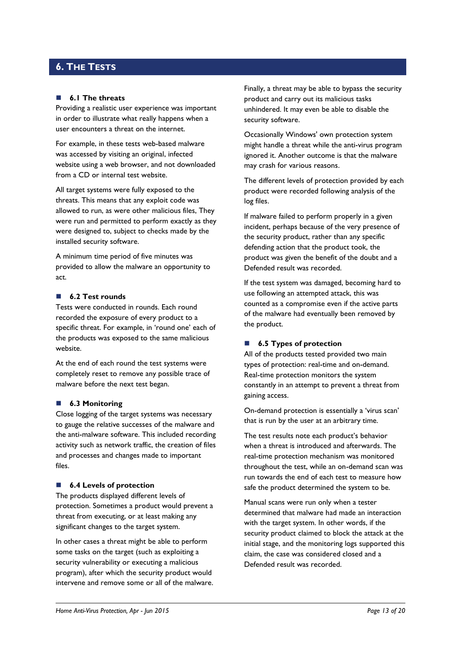## <span id="page-12-0"></span>**6. THE TESTS**

#### **6.1 The threats**

Providing a realistic user experience was important in order to illustrate what really happens when a user encounters a threat on the internet.

For example, in these tests web-based malware was accessed by visiting an original, infected website using a web browser, and not downloaded from a CD or internal test website.

All target systems were fully exposed to the threats. This means that any exploit code was allowed to run, as were other malicious files, They were run and permitted to perform exactly as they were designed to, subject to checks made by the installed security software.

A minimum time period of five minutes was provided to allow the malware an opportunity to act.

#### **6.2 Test rounds**

Tests were conducted in rounds. Each round recorded the exposure of every product to a specific threat. For example, in 'round one' each of the products was exposed to the same malicious website.

At the end of each round the test systems were completely reset to remove any possible trace of malware before the next test began.

#### **6.3 Monitoring**

Close logging of the target systems was necessary to gauge the relative successes of the malware and the anti-malware software. This included recording activity such as network traffic, the creation of files and processes and changes made to important files.

#### ■ **6.4 Levels of protection**

The products displayed different levels of protection. Sometimes a product would prevent a threat from executing, or at least making any significant changes to the target system.

In other cases a threat might be able to perform some tasks on the target (such as exploiting a security vulnerability or executing a malicious program), after which the security product would intervene and remove some or all of the malware. Finally, a threat may be able to bypass the security product and carry out its malicious tasks unhindered. It may even be able to disable the security software.

Occasionally Windows' own protection system might handle a threat while the anti-virus program ignored it. Another outcome is that the malware may crash for various reasons.

The different levels of protection provided by each product were recorded following analysis of the log files.

If malware failed to perform properly in a given incident, perhaps because of the very presence of the security product, rather than any specific defending action that the product took, the product was given the benefit of the doubt and a Defended result was recorded.

If the test system was damaged, becoming hard to use following an attempted attack, this was counted as a compromise even if the active parts of the malware had eventually been removed by the product.

## ■ **6.5 Types of protection**

All of the products tested provided two main types of protection: real-time and on-demand. Real-time protection monitors the system constantly in an attempt to prevent a threat from gaining access.

On-demand protection is essentially a 'virus scan' that is run by the user at an arbitrary time.

The test results note each product's behavior when a threat is introduced and afterwards. The real-time protection mechanism was monitored throughout the test, while an on-demand scan was run towards the end of each test to measure how safe the product determined the system to be.

Manual scans were run only when a tester determined that malware had made an interaction with the target system. In other words, if the security product claimed to block the attack at the initial stage, and the monitoring logs supported this claim, the case was considered closed and a Defended result was recorded.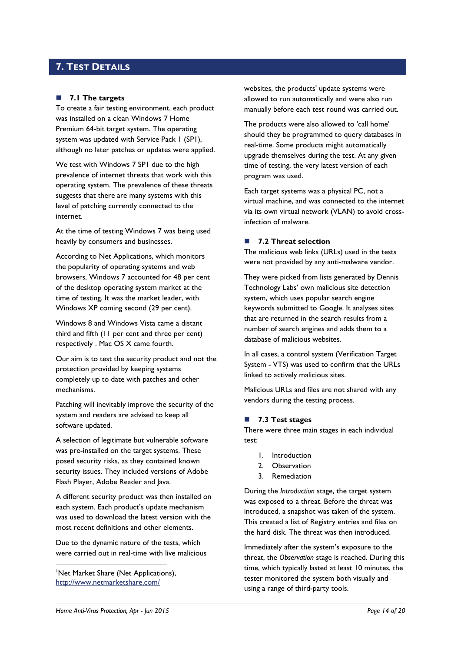## <span id="page-13-0"></span>**7. TEST DETAILS**

## **7.1 The targets**

To create a fair testing environment, each product was installed on a clean Windows 7 Home Premium 64-bit target system. The operating system was updated with Service Pack 1 (SP1), although no later patches or updates were applied.

We test with Windows 7 SP1 due to the high prevalence of internet threats that work with this operating system. The prevalence of these threats suggests that there are many systems with this level of patching currently connected to the internet.

At the time of testing Windows 7 was being used heavily by consumers and businesses.

According to Net Applications, which monitors the popularity of operating systems and web browsers, Windows 7 accounted for 48 per cent of the desktop operating system market at the time of testing. It was the market leader, with Windows XP coming second (29 per cent).

Windows 8 and Windows Vista came a distant third and fifth (11 per cent and three per cent) respectively<sup>1</sup>. Mac OS X came fourth.

Our aim is to test the security product and not the protection provided by keeping systems completely up to date with patches and other mechanisms.

Patching will inevitably improve the security of the system and readers are advised to keep all software updated.

A selection of legitimate but vulnerable software was pre-installed on the target systems. These posed security risks, as they contained known security issues. They included versions of Adobe Flash Player, Adobe Reader and Java.

A different security product was then installed on each system. Each product's update mechanism was used to download the latest version with the most recent definitions and other elements.

Due to the dynamic nature of the tests, which were carried out in real-time with live malicious

<sup>1</sup>Net Market Share (Net Applications), <http://www.netmarketshare.com/>

-

websites, the products' update systems were allowed to run automatically and were also run manually before each test round was carried out.

The products were also allowed to 'call home' should they be programmed to query databases in real-time. Some products might automatically upgrade themselves during the test. At any given time of testing, the very latest version of each program was used.

Each target systems was a physical PC, not a virtual machine, and was connected to the internet via its own virtual network (VLAN) to avoid crossinfection of malware.

## ■ 7.2 Threat selection

The malicious web links (URLs) used in the tests were not provided by any anti-malware vendor.

They were picked from lists generated by Dennis Technology Labs' own malicious site detection system, which uses popular search engine keywords submitted to Google. It analyses sites that are returned in the search results from a number of search engines and adds them to a database of malicious websites.

In all cases, a control system (Verification Target System - VTS) was used to confirm that the URLs linked to actively malicious sites.

Malicious URLs and files are not shared with any vendors during the testing process.

## <span id="page-13-1"></span>**7.3 Test stages**

There were three main stages in each individual test:

- 1. Introduction
- 2. Observation
- 3. Remediation

During the *Introduction* stage, the target system was exposed to a threat. Before the threat was introduced, a snapshot was taken of the system. This created a list of Registry entries and files on the hard disk. The threat was then introduced.

Immediately after the system's exposure to the threat, the *Observation* stage is reached. During this time, which typically lasted at least 10 minutes, the tester monitored the system both visually and using a range of third-party tools.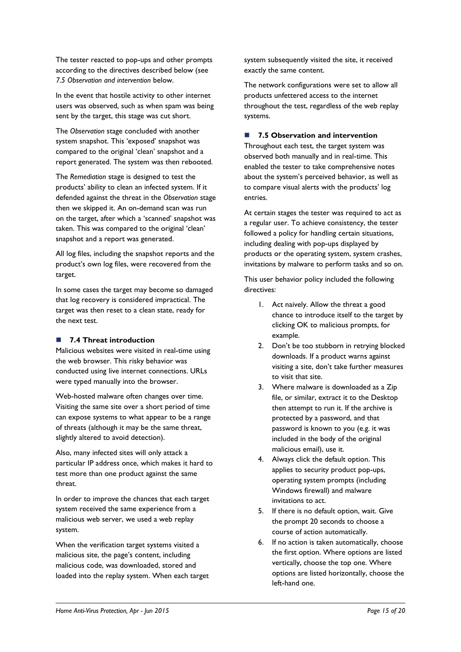The tester reacted to pop-ups and other prompts according to the directives described below (see *7.5 Observation and intervention* below.

In the event that hostile activity to other internet users was observed, such as when spam was being sent by the target, this stage was cut short.

The *Observation* stage concluded with another system snapshot. This 'exposed' snapshot was compared to the original 'clean' snapshot and a report generated. The system was then rebooted.

The *Remediation* stage is designed to test the products' ability to clean an infected system. If it defended against the threat in the *Observation* stage then we skipped it. An on-demand scan was run on the target, after which a 'scanned' snapshot was taken. This was compared to the original 'clean' snapshot and a report was generated.

All log files, including the snapshot reports and the product's own log files, were recovered from the target.

In some cases the target may become so damaged that log recovery is considered impractical. The target was then reset to a clean state, ready for the next test.

## **7.4 Threat introduction**

Malicious websites were visited in real-time using the web browser. This risky behavior was conducted using live internet connections. URLs were typed manually into the browser.

Web-hosted malware often changes over time. Visiting the same site over a short period of time can expose systems to what appear to be a range of threats (although it may be the same threat, slightly altered to avoid detection).

Also, many infected sites will only attack a particular IP address once, which makes it hard to test more than one product against the same threat.

In order to improve the chances that each target system received the same experience from a malicious web server, we used a web replay system.

When the verification target systems visited a malicious site, the page's content, including malicious code, was downloaded, stored and loaded into the replay system. When each target system subsequently visited the site, it received exactly the same content.

The network configurations were set to allow all products unfettered access to the internet throughout the test, regardless of the web replay systems.

## **7.5 Observation and intervention**

Throughout each test, the target system was observed both manually and in real-time. This enabled the tester to take comprehensive notes about the system's perceived behavior, as well as to compare visual alerts with the products' log entries.

At certain stages the tester was required to act as a regular user. To achieve consistency, the tester followed a policy for handling certain situations, including dealing with pop-ups displayed by products or the operating system, system crashes, invitations by malware to perform tasks and so on.

This user behavior policy included the following directives:

- 1. Act naively. Allow the threat a good chance to introduce itself to the target by clicking OK to malicious prompts, for example.
- 2. Don't be too stubborn in retrying blocked downloads. If a product warns against visiting a site, don't take further measures to visit that site.
- 3. Where malware is downloaded as a Zip file, or similar, extract it to the Desktop then attempt to run it. If the archive is protected by a password, and that password is known to you (e.g. it was included in the body of the original malicious email), use it.
- 4. Always click the default option. This applies to security product pop-ups, operating system prompts (including Windows firewall) and malware invitations to act.
- 5. If there is no default option, wait. Give the prompt 20 seconds to choose a course of action automatically.
- 6. If no action is taken automatically, choose the first option. Where options are listed vertically, choose the top one. Where options are listed horizontally, choose the left-hand one.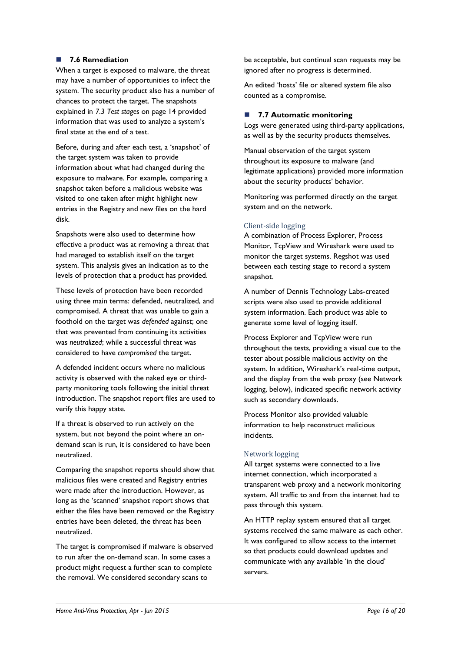## **7.6 Remediation**

When a target is exposed to malware, the threat may have a number of opportunities to infect the system. The security product also has a number of chances to protect the target. The snapshots explained in *7.3 Test stages* [on page 14](#page-13-1) provided information that was used to analyze a system's final state at the end of a test.

Before, during and after each test, a 'snapshot' of the target system was taken to provide information about what had changed during the exposure to malware. For example, comparing a snapshot taken before a malicious website was visited to one taken after might highlight new entries in the Registry and new files on the hard disk.

Snapshots were also used to determine how effective a product was at removing a threat that had managed to establish itself on the target system. This analysis gives an indication as to the levels of protection that a product has provided.

These levels of protection have been recorded using three main terms: defended, neutralized, and compromised. A threat that was unable to gain a foothold on the target was *defended* against; one that was prevented from continuing its activities was *neutralized*; while a successful threat was considered to have *compromised* the target.

A defended incident occurs where no malicious activity is observed with the naked eye or thirdparty monitoring tools following the initial threat introduction. The snapshot report files are used to verify this happy state.

If a threat is observed to run actively on the system, but not beyond the point where an ondemand scan is run, it is considered to have been neutralized.

Comparing the snapshot reports should show that malicious files were created and Registry entries were made after the introduction. However, as long as the 'scanned' snapshot report shows that either the files have been removed or the Registry entries have been deleted, the threat has been neutralized.

The target is compromised if malware is observed to run after the on-demand scan. In some cases a product might request a further scan to complete the removal. We considered secondary scans to

be acceptable, but continual scan requests may be ignored after no progress is determined.

An edited 'hosts' file or altered system file also counted as a compromise.

## ■ 7.7 **Automatic monitoring**

Logs were generated using third-party applications, as well as by the security products themselves.

Manual observation of the target system throughout its exposure to malware (and legitimate applications) provided more information about the security products' behavior.

Monitoring was performed directly on the target system and on the network.

## Client-side logging

A combination of Process Explorer, Process Monitor, TcpView and Wireshark were used to monitor the target systems. Regshot was used between each testing stage to record a system snapshot.

A number of Dennis Technology Labs-created scripts were also used to provide additional system information. Each product was able to generate some level of logging itself.

Process Explorer and TcpView were run throughout the tests, providing a visual cue to the tester about possible malicious activity on the system. In addition, Wireshark's real-time output, and the display from the web proxy (see Network logging, below), indicated specific network activity such as secondary downloads.

Process Monitor also provided valuable information to help reconstruct malicious incidents.

## Network logging

All target systems were connected to a live internet connection, which incorporated a transparent web proxy and a network monitoring system. All traffic to and from the internet had to pass through this system.

An HTTP replay system ensured that all target systems received the same malware as each other. It was configured to allow access to the internet so that products could download updates and communicate with any available 'in the cloud' servers.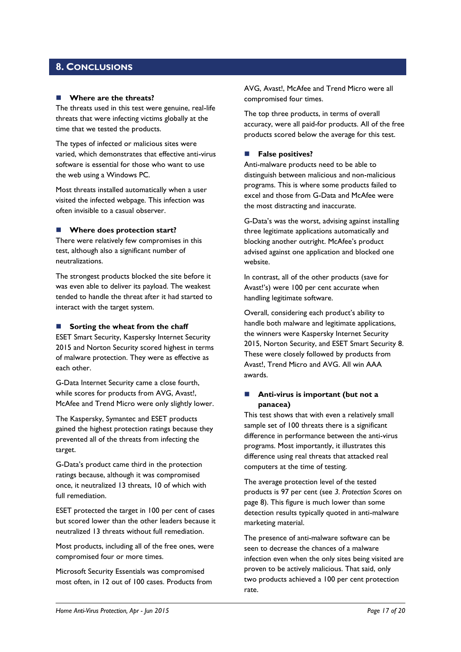## <span id="page-16-0"></span>**8. CONCLUSIONS**

#### **Where are the threats?**

The threats used in this test were genuine, real-life threats that were infecting victims globally at the time that we tested the products.

The types of infected or malicious sites were varied, which demonstrates that effective anti-virus software is essential for those who want to use the web using a Windows PC.

Most threats installed automatically when a user visited the infected webpage. This infection was often invisible to a casual observer.

#### **Where does protection start?**

There were relatively few compromises in this test, although also a significant number of neutralizations.

The strongest products blocked the site before it was even able to deliver its payload. The weakest tended to handle the threat after it had started to interact with the target system.

## **Sorting the wheat from the chaff**

ESET Smart Security, Kaspersky Internet Security 2015 and Norton Security scored highest in terms of malware protection. They were as effective as each other.

G-Data Internet Security came a close fourth, while scores for products from AVG, Avast!, McAfee and Trend Micro were only slightly lower.

The Kaspersky, Symantec and ESET products gained the highest protection ratings because they prevented all of the threats from infecting the target.

G-Data's product came third in the protection ratings because, although it was compromised once, it neutralized 13 threats, 10 of which with full remediation.

ESET protected the target in 100 per cent of cases but scored lower than the other leaders because it neutralized 13 threats without full remediation.

Most products, including all of the free ones, were compromised four or more times.

Microsoft Security Essentials was compromised most often, in 12 out of 100 cases. Products from AVG, Avast!, McAfee and Trend Micro were all compromised four times.

The top three products, in terms of overall accuracy, were all paid-for products. All of the free products scored below the average for this test.

#### **False positives?**

Anti-malware products need to be able to distinguish between malicious and non-malicious programs. This is where some products failed to excel and those from G-Data and McAfee were the most distracting and inaccurate.

G-Data's was the worst, advising against installing three legitimate applications automatically and blocking another outright. McAfee's product advised against one application and blocked one website.

In contrast, all of the other products (save for Avast!'s) were 100 per cent accurate when handling legitimate software.

Overall, considering each product's ability to handle both malware and legitimate applications, the winners were Kaspersky Internet Security 2015, Norton Security, and ESET Smart Security 8. These were closely followed by products from Avast!, Trend Micro and AVG. All win AAA awards.

## **Anti-virus is important (but not a panacea)**

This test shows that with even a relatively small sample set of 100 threats there is a significant difference in performance between the anti-virus programs. Most importantly, it illustrates this difference using real threats that attacked real computers at the time of testing.

The average protection level of the tested products is 97 per cent (see *3. Protection Scores* on page 8). This figure is much lower than some detection results typically quoted in anti-malware marketing material.

The presence of anti-malware software can be seen to decrease the chances of a malware infection even when the only sites being visited are proven to be actively malicious. That said, only two products achieved a 100 per cent protection rate.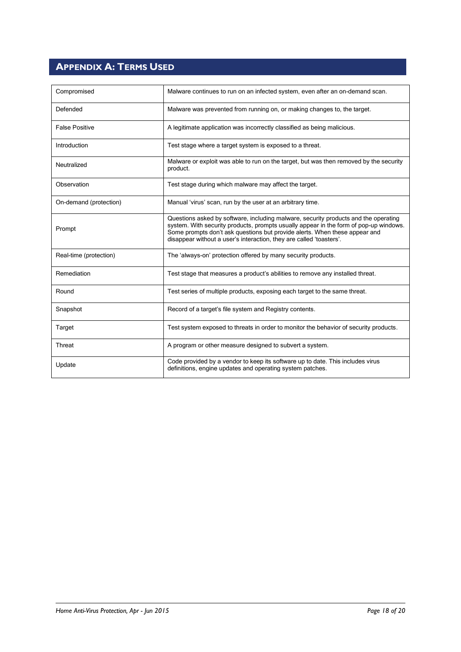## <span id="page-17-0"></span>**APPENDIX A: TERMS USED**

| Compromised            | Malware continues to run on an infected system, even after an on-demand scan.                                                                                                                                                                                                                                                     |
|------------------------|-----------------------------------------------------------------------------------------------------------------------------------------------------------------------------------------------------------------------------------------------------------------------------------------------------------------------------------|
| Defended               | Malware was prevented from running on, or making changes to, the target.                                                                                                                                                                                                                                                          |
| <b>False Positive</b>  | A legitimate application was incorrectly classified as being malicious.                                                                                                                                                                                                                                                           |
| Introduction           | Test stage where a target system is exposed to a threat.                                                                                                                                                                                                                                                                          |
| Neutralized            | Malware or exploit was able to run on the target, but was then removed by the security<br>product.                                                                                                                                                                                                                                |
| Observation            | Test stage during which malware may affect the target.                                                                                                                                                                                                                                                                            |
| On-demand (protection) | Manual 'virus' scan, run by the user at an arbitrary time.                                                                                                                                                                                                                                                                        |
| Prompt                 | Questions asked by software, including malware, security products and the operating<br>system. With security products, prompts usually appear in the form of pop-up windows.<br>Some prompts don't ask questions but provide alerts. When these appear and<br>disappear without a user's interaction, they are called 'toasters'. |
| Real-time (protection) | The 'always-on' protection offered by many security products.                                                                                                                                                                                                                                                                     |
| Remediation            | Test stage that measures a product's abilities to remove any installed threat.                                                                                                                                                                                                                                                    |
| Round                  | Test series of multiple products, exposing each target to the same threat.                                                                                                                                                                                                                                                        |
| Snapshot               | Record of a target's file system and Registry contents.                                                                                                                                                                                                                                                                           |
| Target                 | Test system exposed to threats in order to monitor the behavior of security products.                                                                                                                                                                                                                                             |
| Threat                 | A program or other measure designed to subvert a system.                                                                                                                                                                                                                                                                          |
| Update                 | Code provided by a vendor to keep its software up to date. This includes virus<br>definitions, engine updates and operating system patches.                                                                                                                                                                                       |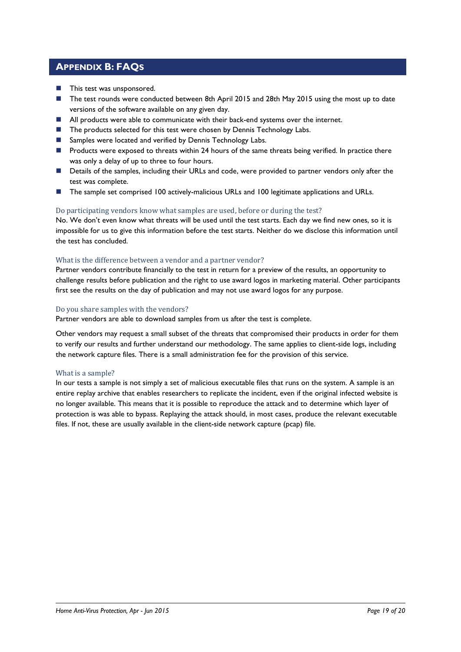## <span id="page-18-0"></span>**APPENDIX B: FAQS**

- **This test was unsponsored.**
- The test rounds were conducted between 8th April 2015 and 28th May 2015 using the most up to date versions of the software available on any given day.
- **All products were able to communicate with their back-end systems over the internet.**
- The products selected for this test were chosen by Dennis Technology Labs.
- Samples were located and verified by Dennis Technology Labs.
- **Products were exposed to threats within 24 hours of the same threats being verified. In practice there** was only a delay of up to three to four hours.
- Details of the samples, including their URLs and code, were provided to partner vendors only after the test was complete.
- The sample set comprised 100 actively-malicious URLs and 100 legitimate applications and URLs.

#### Do participating vendors know what samples are used, before or during the test?

No. We don't even know what threats will be used until the test starts. Each day we find new ones, so it is impossible for us to give this information before the test starts. Neither do we disclose this information until the test has concluded.

## What is the difference between a vendor and a partner vendor?

Partner vendors contribute financially to the test in return for a preview of the results, an opportunity to challenge results before publication and the right to use award logos in marketing material. Other participants first see the results on the day of publication and may not use award logos for any purpose.

#### Do you share samples with the vendors?

Partner vendors are able to download samples from us after the test is complete.

Other vendors may request a small subset of the threats that compromised their products in order for them to verify our results and further understand our methodology. The same applies to client-side logs, including the network capture files. There is a small administration fee for the provision of this service.

#### What is a sample?

In our tests a sample is not simply a set of malicious executable files that runs on the system. A sample is an entire replay archive that enables researchers to replicate the incident, even if the original infected website is no longer available. This means that it is possible to reproduce the attack and to determine which layer of protection is was able to bypass. Replaying the attack should, in most cases, produce the relevant executable files. If not, these are usually available in the client-side network capture (pcap) file.